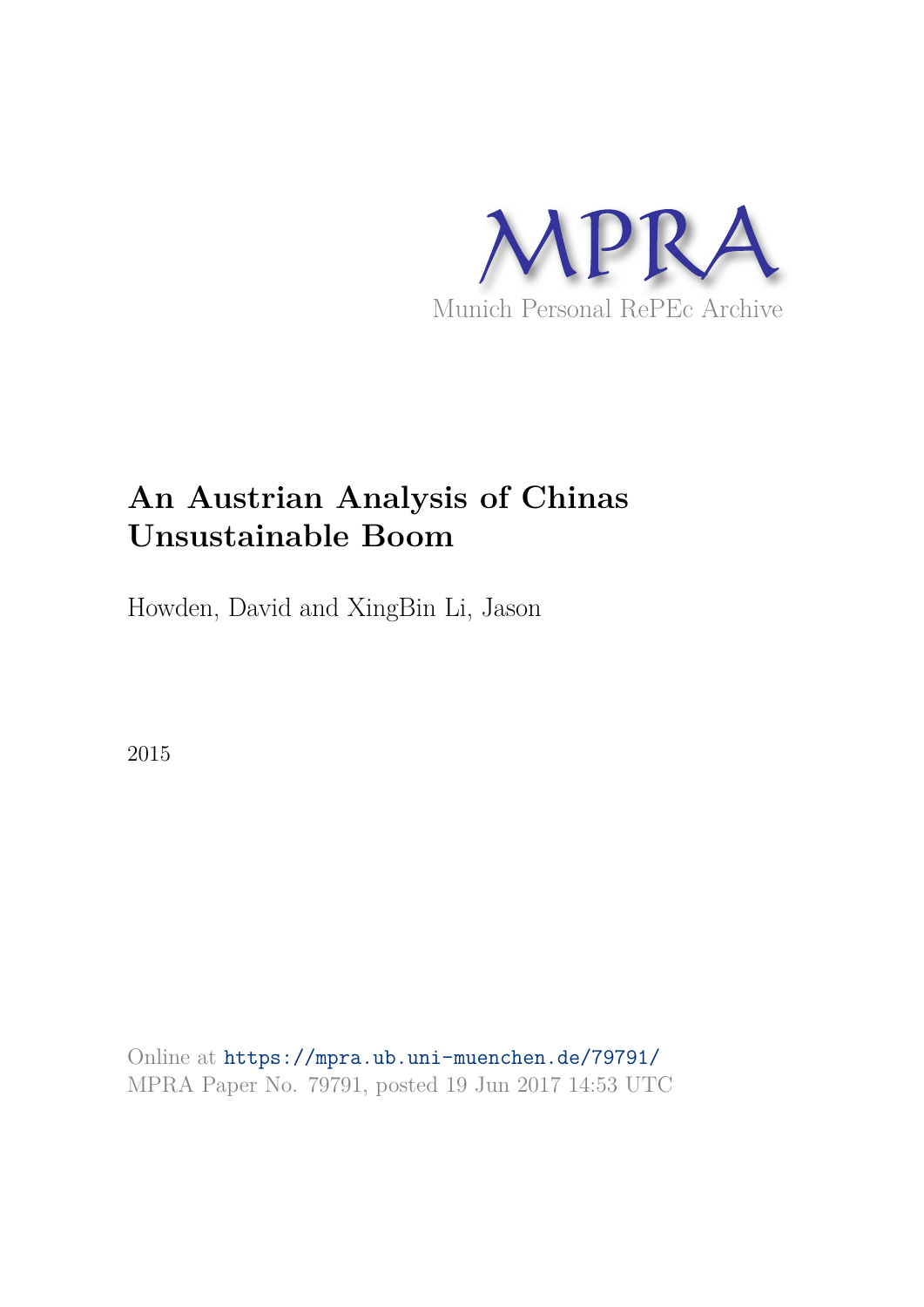

# **An Austrian Analysis of Chinas Unsustainable Boom**

Howden, David and XingBin Li, Jason

2015

Online at https://mpra.ub.uni-muenchen.de/79791/ MPRA Paper No. 79791, posted 19 Jun 2017 14:53 UTC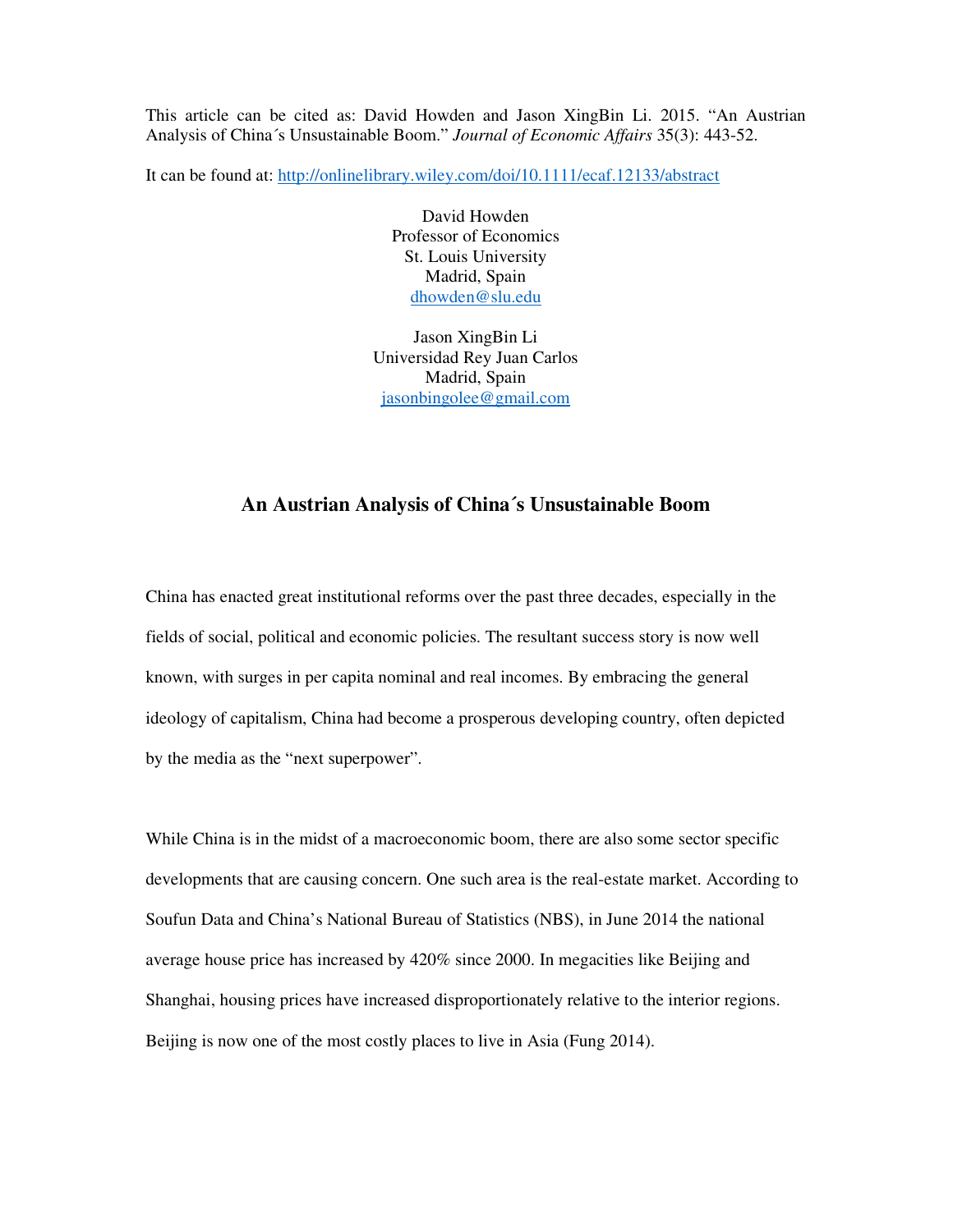This article can be cited as: David Howden and Jason XingBin Li. 2015. "An Austrian Analysis of China´s Unsustainable Boom." *Journal of Economic Affairs* 35(3): 443-52.

It can be found at: http://onlinelibrary.wiley.com/doi/10.1111/ecaf.12133/abstract

David Howden Professor of Economics St. Louis University Madrid, Spain dhowden@slu.edu

Jason XingBin Li Universidad Rey Juan Carlos Madrid, Spain jasonbingolee@gmail.com

## **An Austrian Analysis of China´s Unsustainable Boom**

China has enacted great institutional reforms over the past three decades, especially in the fields of social, political and economic policies. The resultant success story is now well known, with surges in per capita nominal and real incomes. By embracing the general ideology of capitalism, China had become a prosperous developing country, often depicted by the media as the "next superpower".

While China is in the midst of a macroeconomic boom, there are also some sector specific developments that are causing concern. One such area is the real-estate market. According to Soufun Data and China's National Bureau of Statistics (NBS), in June 2014 the national average house price has increased by 420% since 2000. In megacities like Beijing and Shanghai, housing prices have increased disproportionately relative to the interior regions. Beijing is now one of the most costly places to live in Asia (Fung 2014).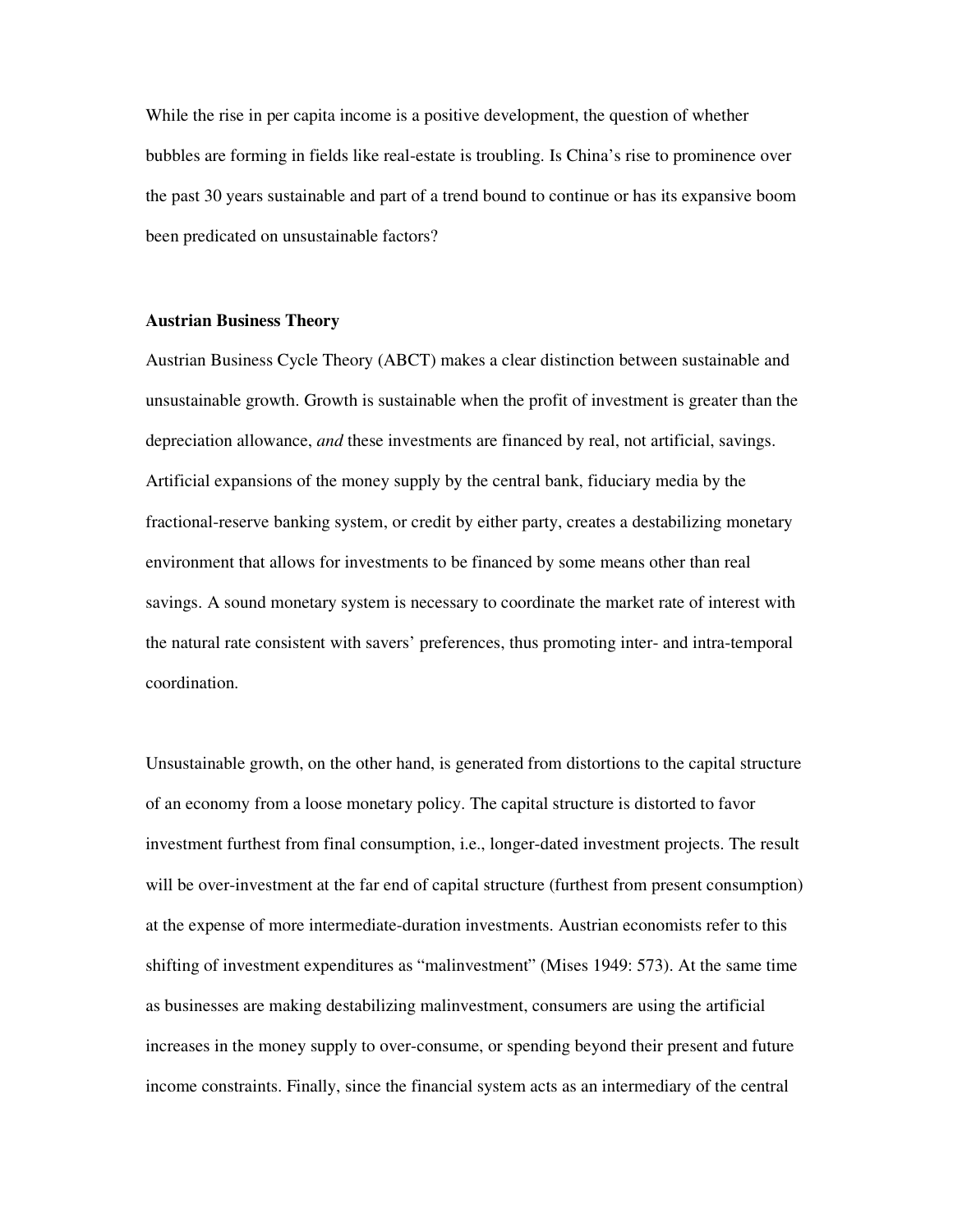While the rise in per capita income is a positive development, the question of whether bubbles are forming in fields like real-estate is troubling. Is China's rise to prominence over the past 30 years sustainable and part of a trend bound to continue or has its expansive boom been predicated on unsustainable factors?

#### **Austrian Business Theory**

Austrian Business Cycle Theory (ABCT) makes a clear distinction between sustainable and unsustainable growth. Growth is sustainable when the profit of investment is greater than the depreciation allowance, *and* these investments are financed by real, not artificial, savings. Artificial expansions of the money supply by the central bank, fiduciary media by the fractional-reserve banking system, or credit by either party, creates a destabilizing monetary environment that allows for investments to be financed by some means other than real savings. A sound monetary system is necessary to coordinate the market rate of interest with the natural rate consistent with savers' preferences, thus promoting inter- and intra-temporal coordination.

Unsustainable growth, on the other hand, is generated from distortions to the capital structure of an economy from a loose monetary policy. The capital structure is distorted to favor investment furthest from final consumption, i.e., longer-dated investment projects. The result will be over-investment at the far end of capital structure (furthest from present consumption) at the expense of more intermediate-duration investments. Austrian economists refer to this shifting of investment expenditures as "malinvestment" (Mises 1949: 573). At the same time as businesses are making destabilizing malinvestment, consumers are using the artificial increases in the money supply to over-consume, or spending beyond their present and future income constraints. Finally, since the financial system acts as an intermediary of the central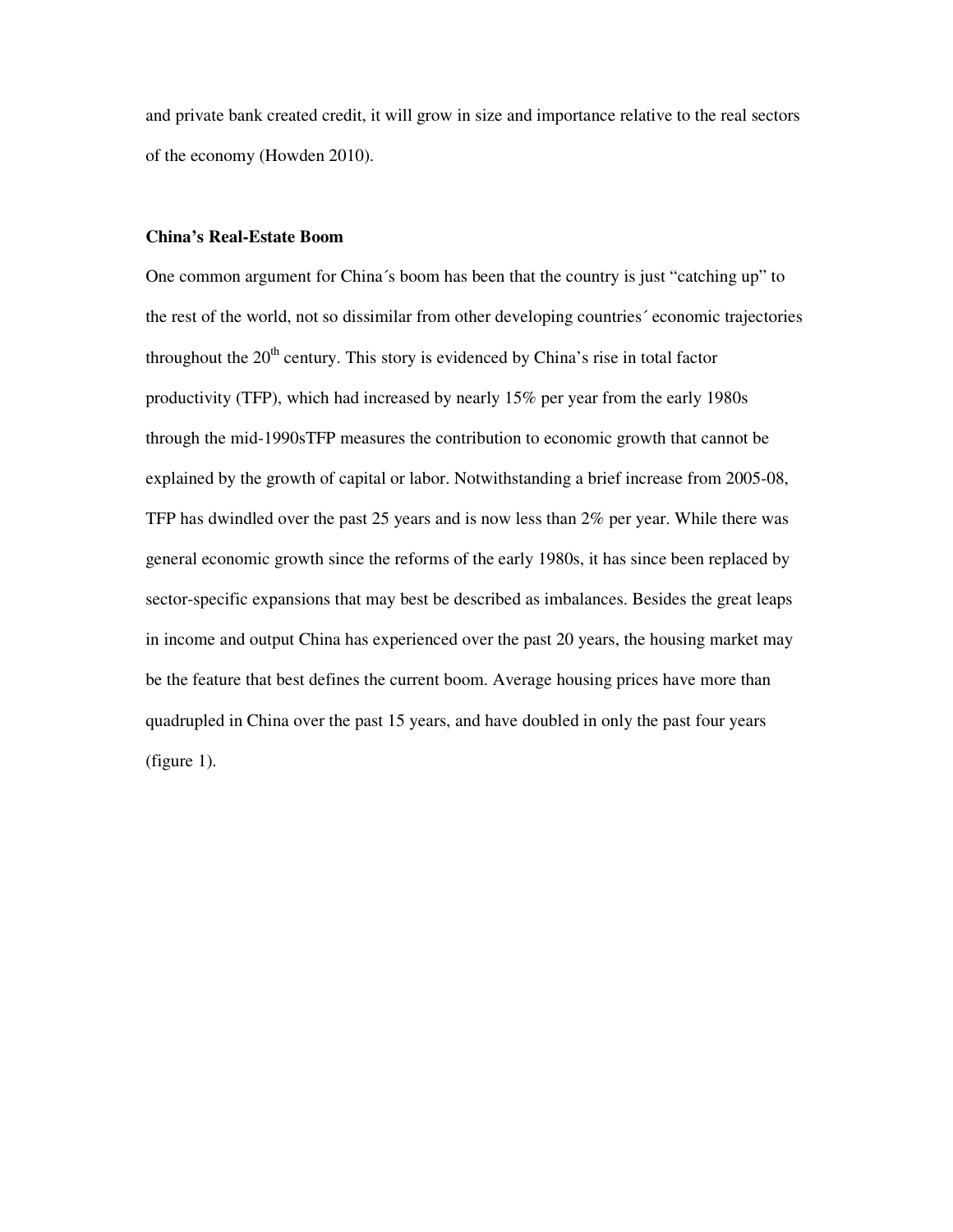and private bank created credit, it will grow in size and importance relative to the real sectors of the economy (Howden 2010).

#### **China's Real-Estate Boom**

One common argument for China´s boom has been that the country is just "catching up" to the rest of the world, not so dissimilar from other developing countries´ economic trajectories throughout the  $20<sup>th</sup>$  century. This story is evidenced by China's rise in total factor productivity (TFP), which had increased by nearly 15% per year from the early 1980s through the mid-1990sTFP measures the contribution to economic growth that cannot be explained by the growth of capital or labor. Notwithstanding a brief increase from 2005-08, TFP has dwindled over the past 25 years and is now less than 2% per year. While there was general economic growth since the reforms of the early 1980s, it has since been replaced by sector-specific expansions that may best be described as imbalances. Besides the great leaps in income and output China has experienced over the past 20 years, the housing market may be the feature that best defines the current boom. Average housing prices have more than quadrupled in China over the past 15 years, and have doubled in only the past four years (figure 1).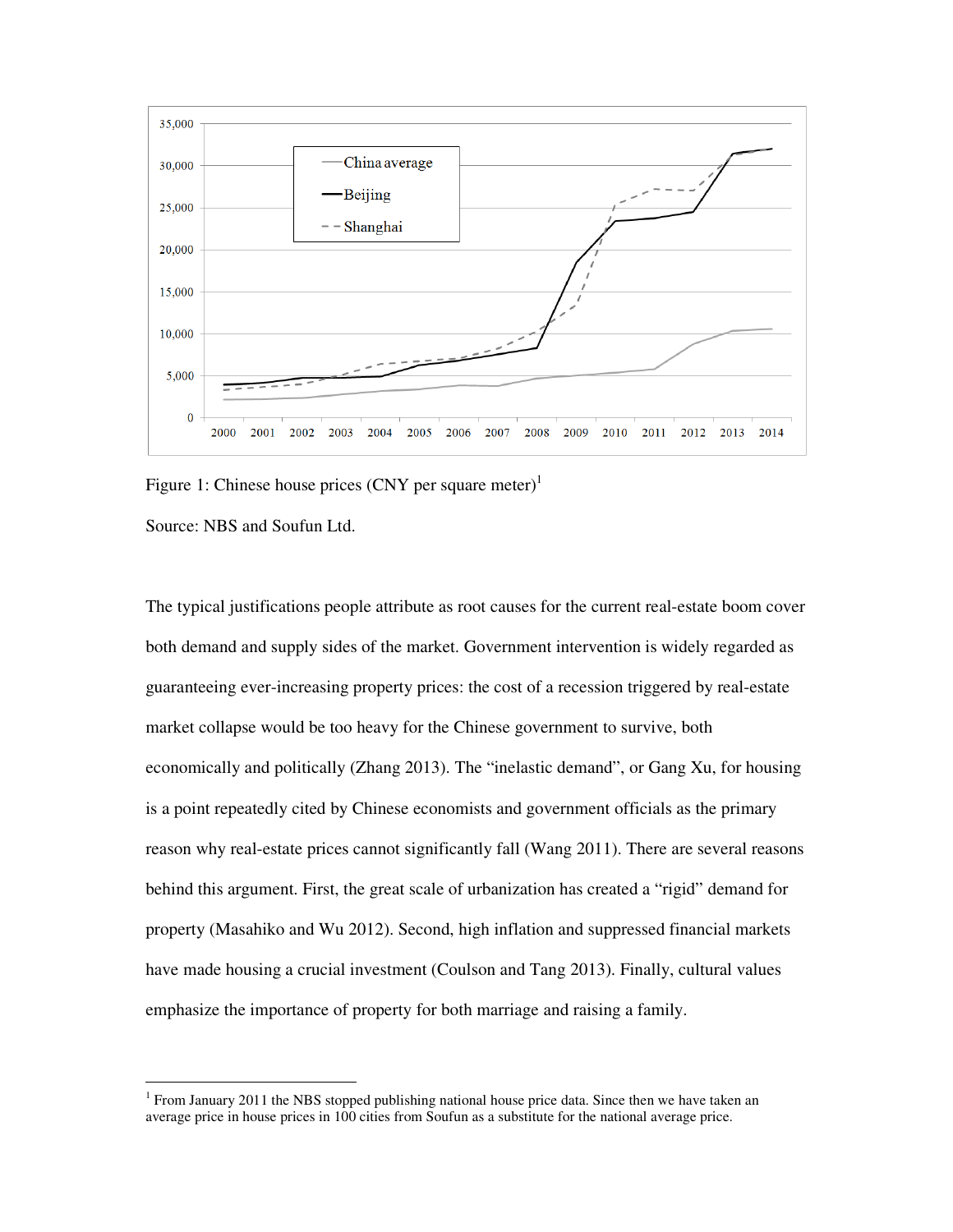

Figure 1: Chinese house prices  $(CNY)$  per square meter)<sup>1</sup>

Source: NBS and Soufun Ltd.

 $\overline{a}$ 

The typical justifications people attribute as root causes for the current real-estate boom cover both demand and supply sides of the market. Government intervention is widely regarded as guaranteeing ever-increasing property prices: the cost of a recession triggered by real-estate market collapse would be too heavy for the Chinese government to survive, both economically and politically (Zhang 2013). The "inelastic demand", or Gang Xu, for housing is a point repeatedly cited by Chinese economists and government officials as the primary reason why real-estate prices cannot significantly fall (Wang 2011). There are several reasons behind this argument. First, the great scale of urbanization has created a "rigid" demand for property (Masahiko and Wu 2012). Second, high inflation and suppressed financial markets have made housing a crucial investment (Coulson and Tang 2013). Finally, cultural values emphasize the importance of property for both marriage and raising a family.

<sup>&</sup>lt;sup>1</sup> From January 2011 the NBS stopped publishing national house price data. Since then we have taken an average price in house prices in 100 cities from Soufun as a substitute for the national average price.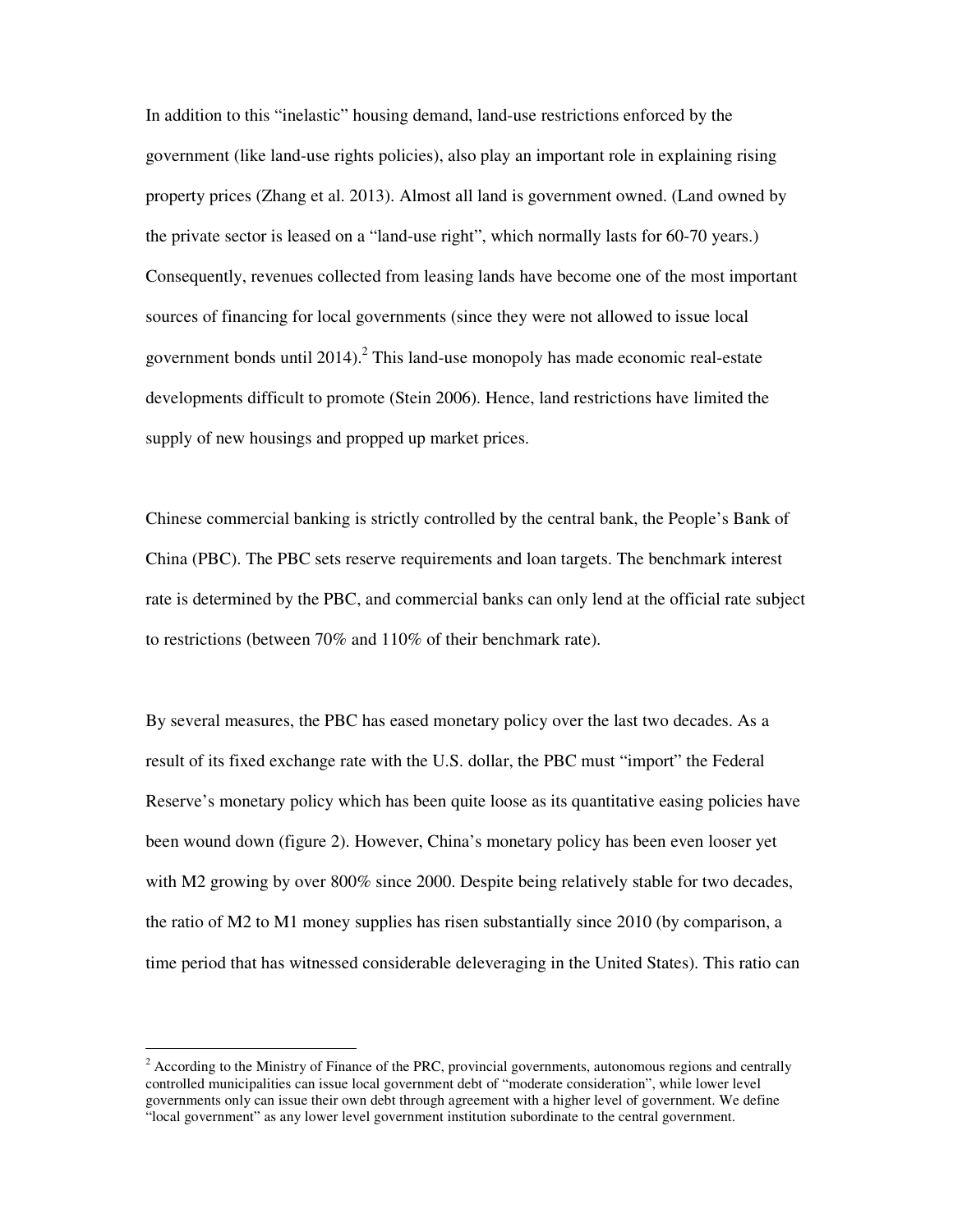In addition to this "inelastic" housing demand, land-use restrictions enforced by the government (like land-use rights policies), also play an important role in explaining rising property prices (Zhang et al. 2013). Almost all land is government owned. (Land owned by the private sector is leased on a "land-use right", which normally lasts for 60-70 years.) Consequently, revenues collected from leasing lands have become one of the most important sources of financing for local governments (since they were not allowed to issue local government bonds until  $2014$ ).<sup>2</sup> This land-use monopoly has made economic real-estate developments difficult to promote (Stein 2006). Hence, land restrictions have limited the supply of new housings and propped up market prices.

Chinese commercial banking is strictly controlled by the central bank, the People's Bank of China (PBC). The PBC sets reserve requirements and loan targets. The benchmark interest rate is determined by the PBC, and commercial banks can only lend at the official rate subject to restrictions (between 70% and 110% of their benchmark rate).

By several measures, the PBC has eased monetary policy over the last two decades. As a result of its fixed exchange rate with the U.S. dollar, the PBC must "import" the Federal Reserve's monetary policy which has been quite loose as its quantitative easing policies have been wound down (figure 2). However, China's monetary policy has been even looser yet with M2 growing by over 800% since 2000. Despite being relatively stable for two decades, the ratio of M2 to M1 money supplies has risen substantially since 2010 (by comparison, a time period that has witnessed considerable deleveraging in the United States). This ratio can

 $\overline{a}$ 

 $2^{2}$  According to the Ministry of Finance of the PRC, provincial governments, autonomous regions and centrally controlled municipalities can issue local government debt of "moderate consideration", while lower level governments only can issue their own debt through agreement with a higher level of government. We define "local government" as any lower level government institution subordinate to the central government.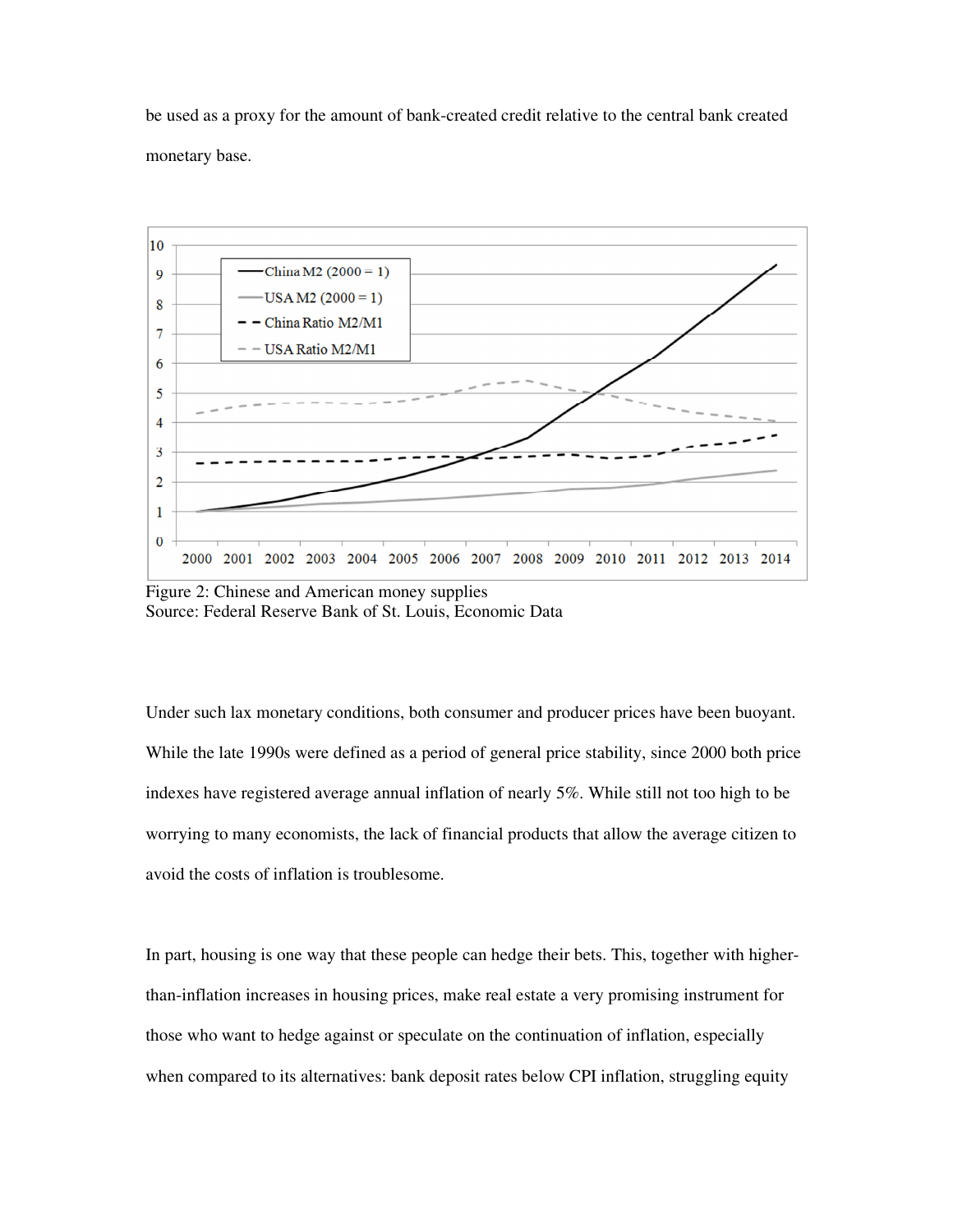be used as a proxy for the amount of bank-created credit relative to the central bank created monetary base.



Figure 2: Chinese and American money supplies Source: Federal Reserve Bank of St. Louis, Economic Data

Under such lax monetary conditions, both consumer and producer prices have been buoyant. While the late 1990s were defined as a period of general price stability, since 2000 both price indexes have registered average annual inflation of nearly 5%. While still not too high to be worrying to many economists, the lack of financial products that allow the average citizen to avoid the costs of inflation is troublesome.

In part, housing is one way that these people can hedge their bets. This, together with higherthan-inflation increases in housing prices, make real estate a very promising instrument for those who want to hedge against or speculate on the continuation of inflation, especially when compared to its alternatives: bank deposit rates below CPI inflation, struggling equity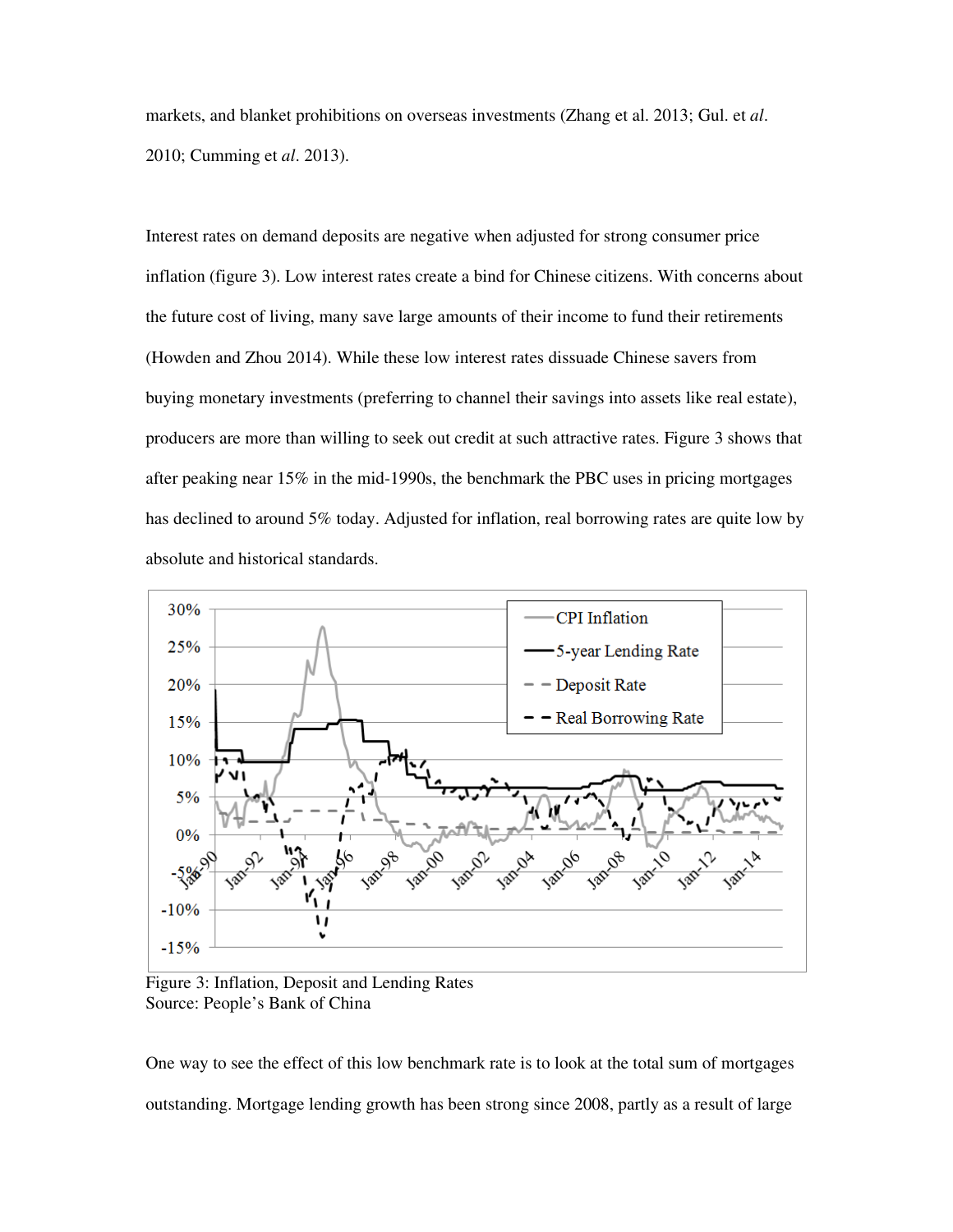markets, and blanket prohibitions on overseas investments (Zhang et al. 2013; Gul. et *al*. 2010; Cumming et *al*. 2013).

Interest rates on demand deposits are negative when adjusted for strong consumer price inflation (figure 3). Low interest rates create a bind for Chinese citizens. With concerns about the future cost of living, many save large amounts of their income to fund their retirements (Howden and Zhou 2014). While these low interest rates dissuade Chinese savers from buying monetary investments (preferring to channel their savings into assets like real estate), producers are more than willing to seek out credit at such attractive rates. Figure 3 shows that after peaking near 15% in the mid-1990s, the benchmark the PBC uses in pricing mortgages has declined to around 5% today. Adjusted for inflation, real borrowing rates are quite low by absolute and historical standards.



Figure 3: Inflation, Deposit and Lending Rates Source: People's Bank of China

One way to see the effect of this low benchmark rate is to look at the total sum of mortgages outstanding. Mortgage lending growth has been strong since 2008, partly as a result of large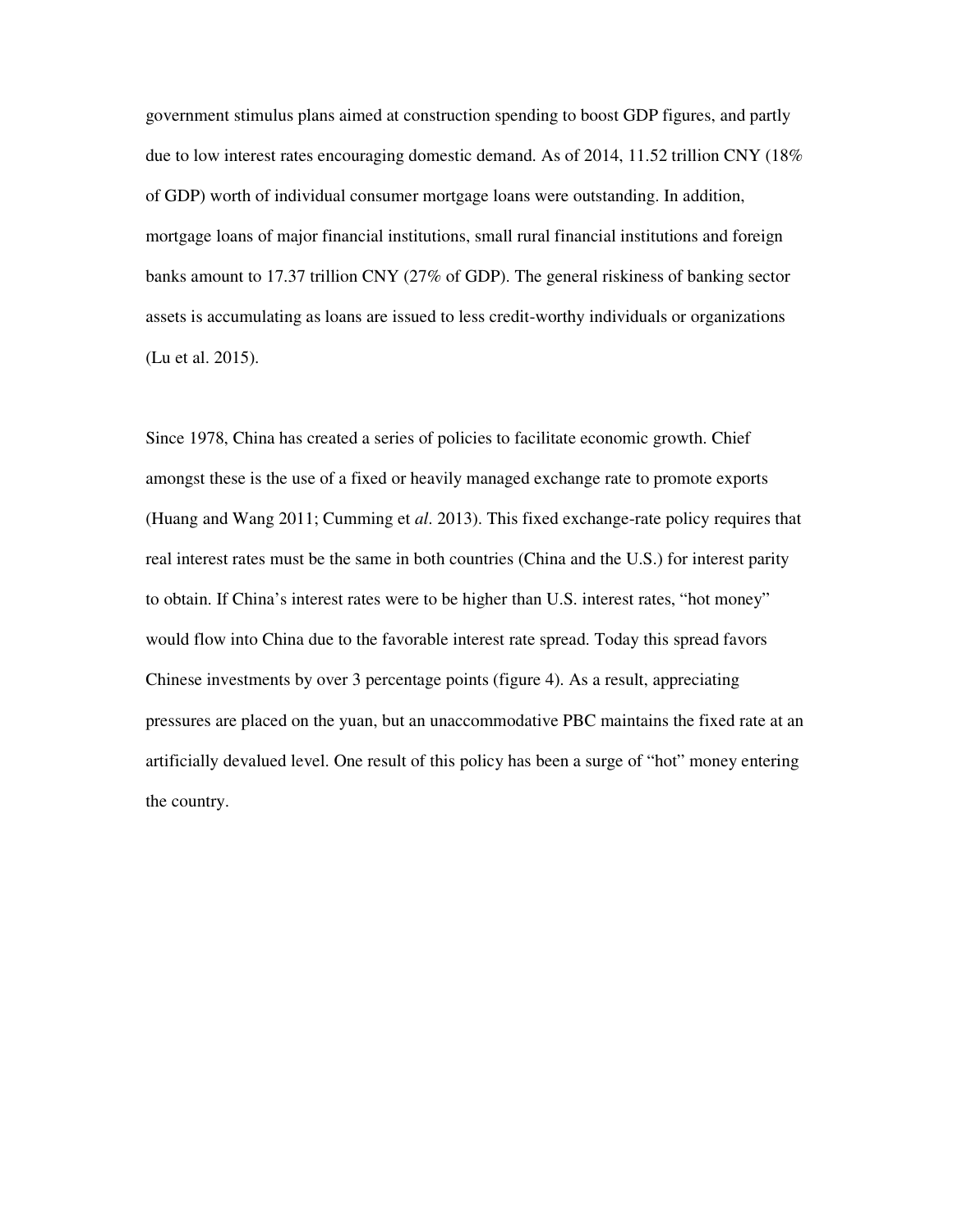government stimulus plans aimed at construction spending to boost GDP figures, and partly due to low interest rates encouraging domestic demand. As of 2014, 11.52 trillion CNY (18% of GDP) worth of individual consumer mortgage loans were outstanding. In addition, mortgage loans of major financial institutions, small rural financial institutions and foreign banks amount to 17.37 trillion CNY (27% of GDP). The general riskiness of banking sector assets is accumulating as loans are issued to less credit-worthy individuals or organizations (Lu et al. 2015).

Since 1978, China has created a series of policies to facilitate economic growth. Chief amongst these is the use of a fixed or heavily managed exchange rate to promote exports (Huang and Wang 2011; Cumming et *al*. 2013). This fixed exchange-rate policy requires that real interest rates must be the same in both countries (China and the U.S.) for interest parity to obtain. If China's interest rates were to be higher than U.S. interest rates, "hot money" would flow into China due to the favorable interest rate spread. Today this spread favors Chinese investments by over 3 percentage points (figure 4). As a result, appreciating pressures are placed on the yuan, but an unaccommodative PBC maintains the fixed rate at an artificially devalued level. One result of this policy has been a surge of "hot" money entering the country.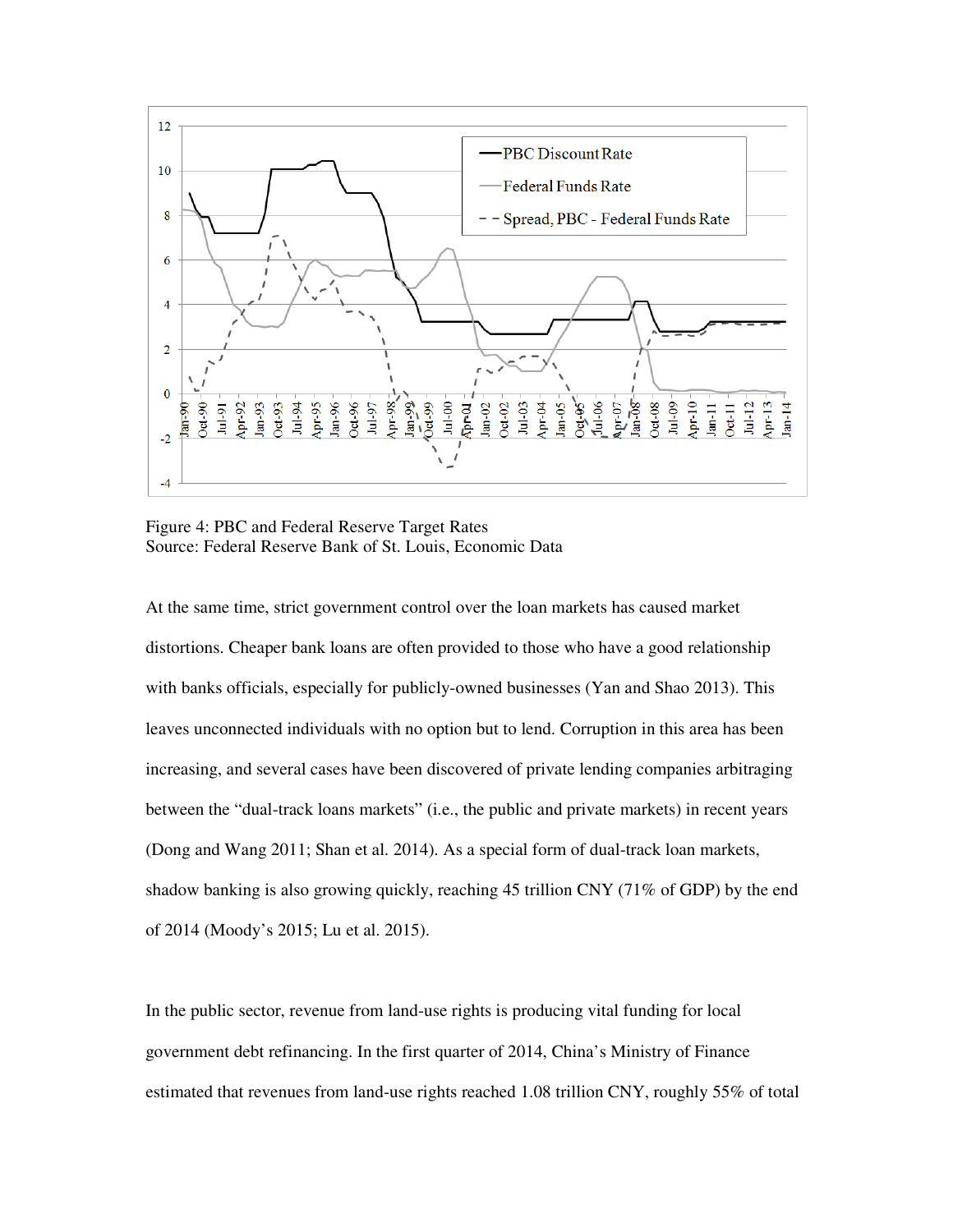

Figure 4: PBC and Federal Reserve Target Rates Source: Federal Reserve Bank of St. Louis, Economic Data

At the same time, strict government control over the loan markets has caused market distortions. Cheaper bank loans are often provided to those who have a good relationship with banks officials, especially for publicly-owned businesses (Yan and Shao 2013). This leaves unconnected individuals with no option but to lend. Corruption in this area has been increasing, and several cases have been discovered of private lending companies arbitraging between the "dual-track loans markets" (i.e., the public and private markets) in recent years (Dong and Wang 2011; Shan et al. 2014). As a special form of dual-track loan markets, shadow banking is also growing quickly, reaching 45 trillion CNY (71% of GDP) by the end of 2014 (Moody's 2015; Lu et al. 2015).

In the public sector, revenue from land-use rights is producing vital funding for local government debt refinancing. In the first quarter of 2014, China's Ministry of Finance estimated that revenues from land-use rights reached 1.08 trillion CNY, roughly 55% of total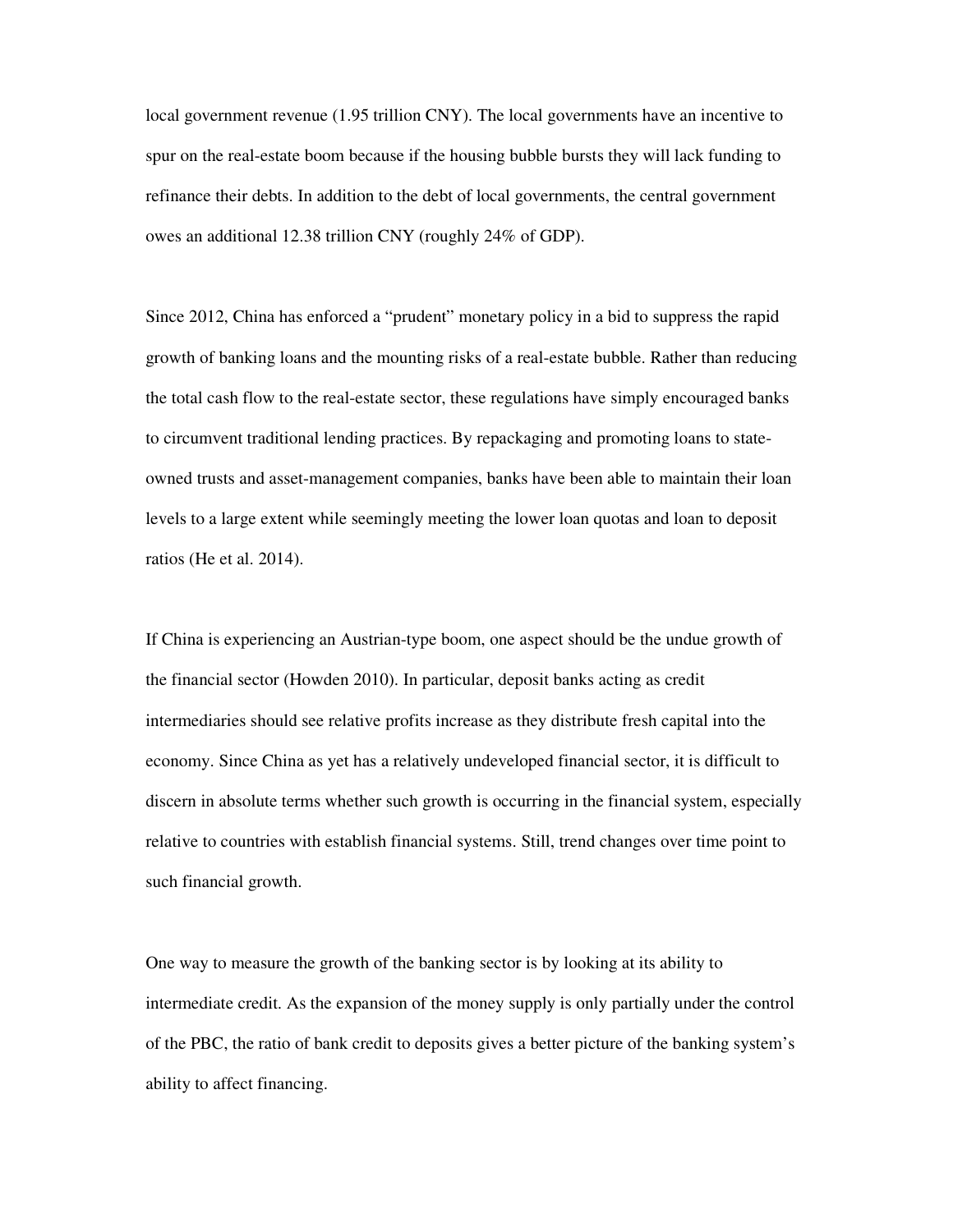local government revenue (1.95 trillion CNY). The local governments have an incentive to spur on the real-estate boom because if the housing bubble bursts they will lack funding to refinance their debts. In addition to the debt of local governments, the central government owes an additional 12.38 trillion CNY (roughly 24% of GDP).

Since 2012, China has enforced a "prudent" monetary policy in a bid to suppress the rapid growth of banking loans and the mounting risks of a real-estate bubble. Rather than reducing the total cash flow to the real-estate sector, these regulations have simply encouraged banks to circumvent traditional lending practices. By repackaging and promoting loans to stateowned trusts and asset-management companies, banks have been able to maintain their loan levels to a large extent while seemingly meeting the lower loan quotas and loan to deposit ratios (He et al. 2014).

If China is experiencing an Austrian-type boom, one aspect should be the undue growth of the financial sector (Howden 2010). In particular, deposit banks acting as credit intermediaries should see relative profits increase as they distribute fresh capital into the economy. Since China as yet has a relatively undeveloped financial sector, it is difficult to discern in absolute terms whether such growth is occurring in the financial system, especially relative to countries with establish financial systems. Still, trend changes over time point to such financial growth.

One way to measure the growth of the banking sector is by looking at its ability to intermediate credit. As the expansion of the money supply is only partially under the control of the PBC, the ratio of bank credit to deposits gives a better picture of the banking system's ability to affect financing.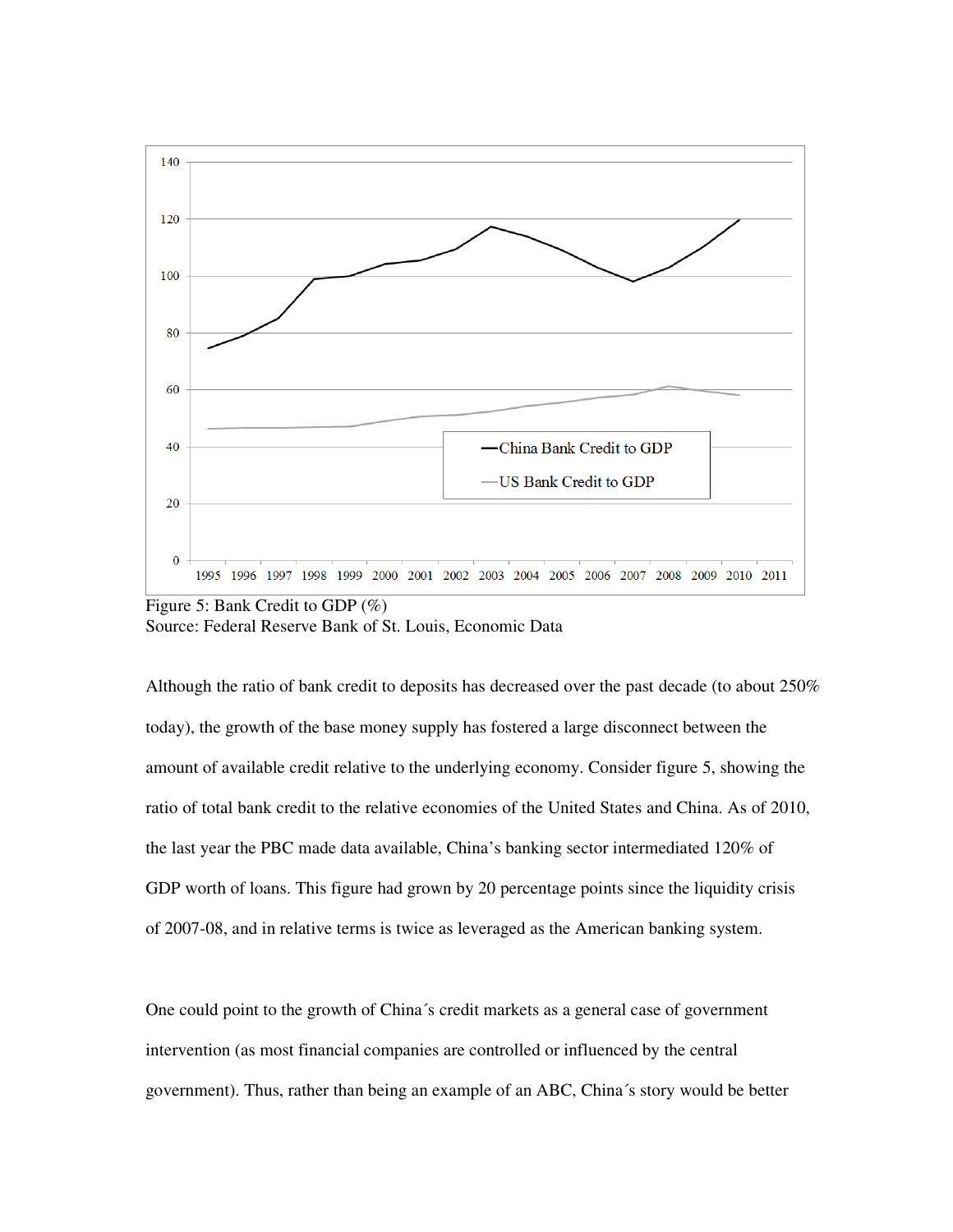

Figure 5: Bank Credit to GDP (%) Source: Federal Reserve Bank of St. Louis, Economic Data

Although the ratio of bank credit to deposits has decreased over the past decade (to about 250% today), the growth of the base money supply has fostered a large disconnect between the amount of available credit relative to the underlying economy. Consider figure 5, showing the ratio of total bank credit to the relative economies of the United States and China. As of 2010, the last year the PBC made data available, China's banking sector intermediated 120% of GDP worth of loans. This figure had grown by 20 percentage points since the liquidity crisis of 2007-08, and in relative terms is twice as leveraged as the American banking system.

One could point to the growth of China´s credit markets as a general case of government intervention (as most financial companies are controlled or influenced by the central government). Thus, rather than being an example of an ABC, China´s story would be better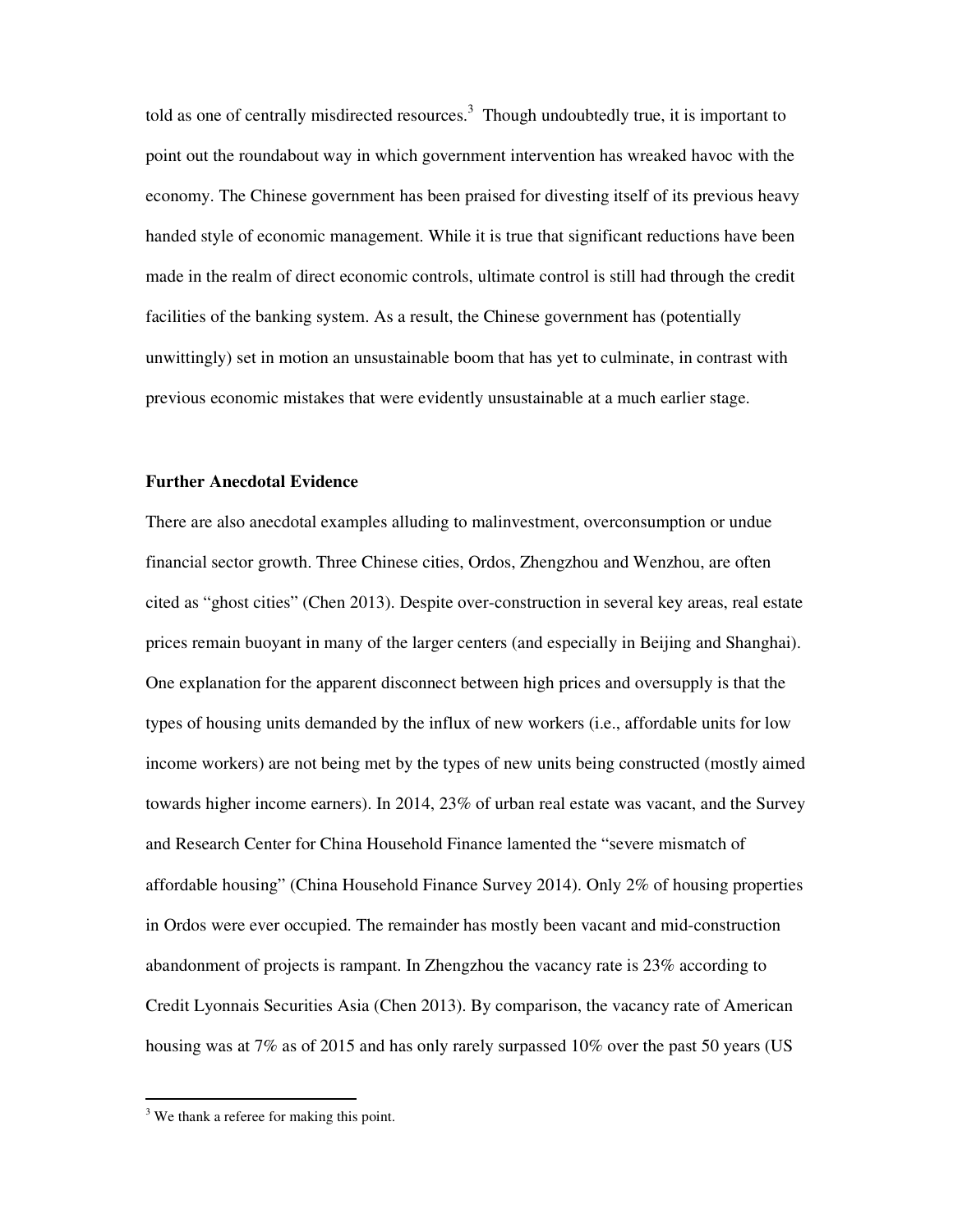told as one of centrally misdirected resources. $3$  Though undoubtedly true, it is important to point out the roundabout way in which government intervention has wreaked havoc with the economy. The Chinese government has been praised for divesting itself of its previous heavy handed style of economic management. While it is true that significant reductions have been made in the realm of direct economic controls, ultimate control is still had through the credit facilities of the banking system. As a result, the Chinese government has (potentially unwittingly) set in motion an unsustainable boom that has yet to culminate, in contrast with previous economic mistakes that were evidently unsustainable at a much earlier stage.

## **Further Anecdotal Evidence**

There are also anecdotal examples alluding to malinvestment, overconsumption or undue financial sector growth. Three Chinese cities, Ordos, Zhengzhou and Wenzhou, are often cited as "ghost cities" (Chen 2013). Despite over-construction in several key areas, real estate prices remain buoyant in many of the larger centers (and especially in Beijing and Shanghai). One explanation for the apparent disconnect between high prices and oversupply is that the types of housing units demanded by the influx of new workers (i.e., affordable units for low income workers) are not being met by the types of new units being constructed (mostly aimed towards higher income earners). In 2014, 23% of urban real estate was vacant, and the Survey and Research Center for China Household Finance lamented the "severe mismatch of affordable housing" (China Household Finance Survey 2014). Only 2% of housing properties in Ordos were ever occupied. The remainder has mostly been vacant and mid-construction abandonment of projects is rampant. In Zhengzhou the vacancy rate is 23% according to Credit Lyonnais Securities Asia (Chen 2013). By comparison, the vacancy rate of American housing was at 7% as of 2015 and has only rarely surpassed 10% over the past 50 years (US

.<br>.

<sup>&</sup>lt;sup>3</sup> We thank a referee for making this point.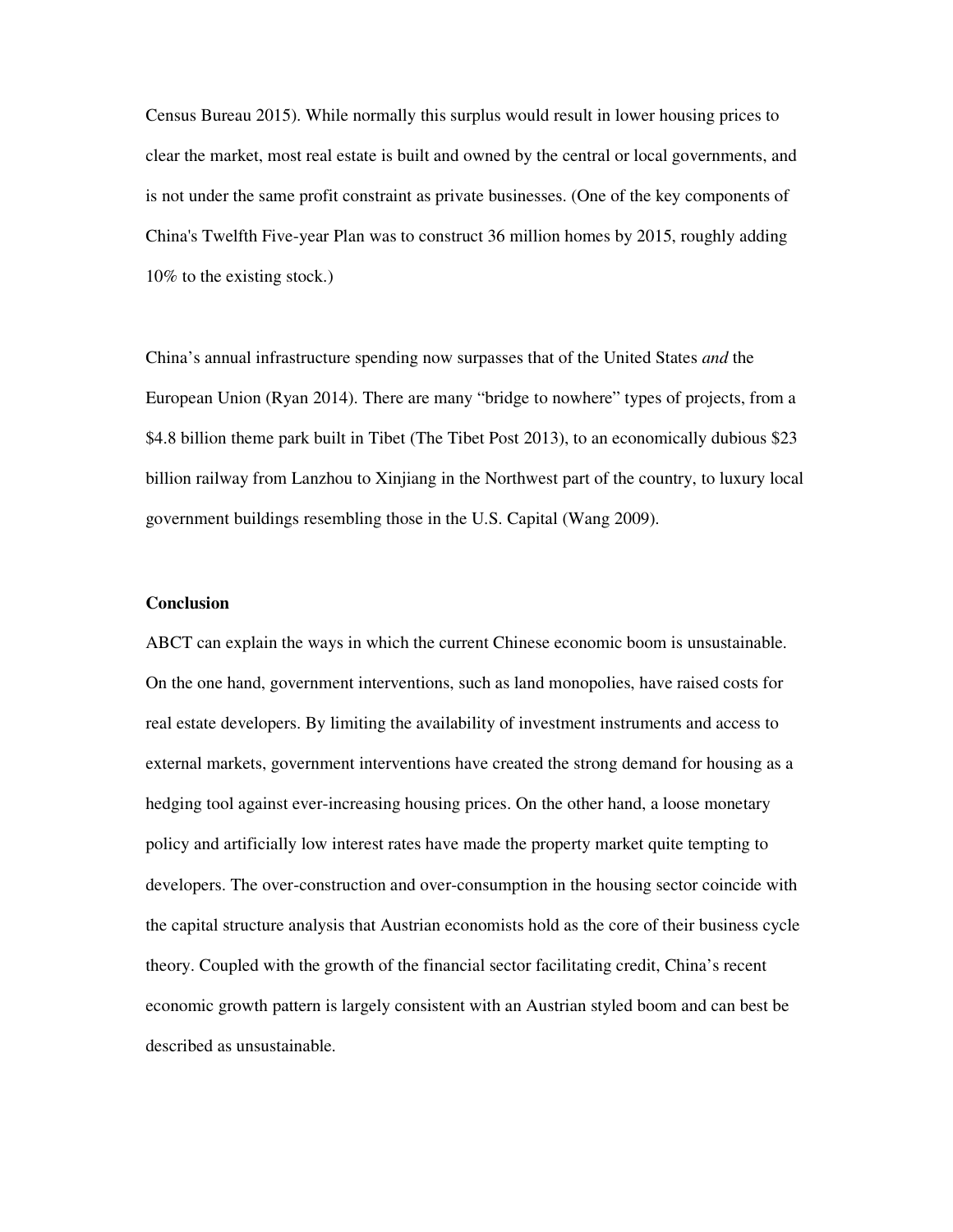Census Bureau 2015). While normally this surplus would result in lower housing prices to clear the market, most real estate is built and owned by the central or local governments, and is not under the same profit constraint as private businesses. (One of the key components of China's Twelfth Five-year Plan was to construct 36 million homes by 2015, roughly adding 10% to the existing stock.)

China's annual infrastructure spending now surpasses that of the United States *and* the European Union (Ryan 2014). There are many "bridge to nowhere" types of projects, from a \$4.8 billion theme park built in Tibet (The Tibet Post 2013), to an economically dubious \$23 billion railway from Lanzhou to Xinjiang in the Northwest part of the country, to luxury local government buildings resembling those in the U.S. Capital (Wang 2009).

### **Conclusion**

ABCT can explain the ways in which the current Chinese economic boom is unsustainable. On the one hand, government interventions, such as land monopolies, have raised costs for real estate developers. By limiting the availability of investment instruments and access to external markets, government interventions have created the strong demand for housing as a hedging tool against ever-increasing housing prices. On the other hand, a loose monetary policy and artificially low interest rates have made the property market quite tempting to developers. The over-construction and over-consumption in the housing sector coincide with the capital structure analysis that Austrian economists hold as the core of their business cycle theory. Coupled with the growth of the financial sector facilitating credit, China's recent economic growth pattern is largely consistent with an Austrian styled boom and can best be described as unsustainable.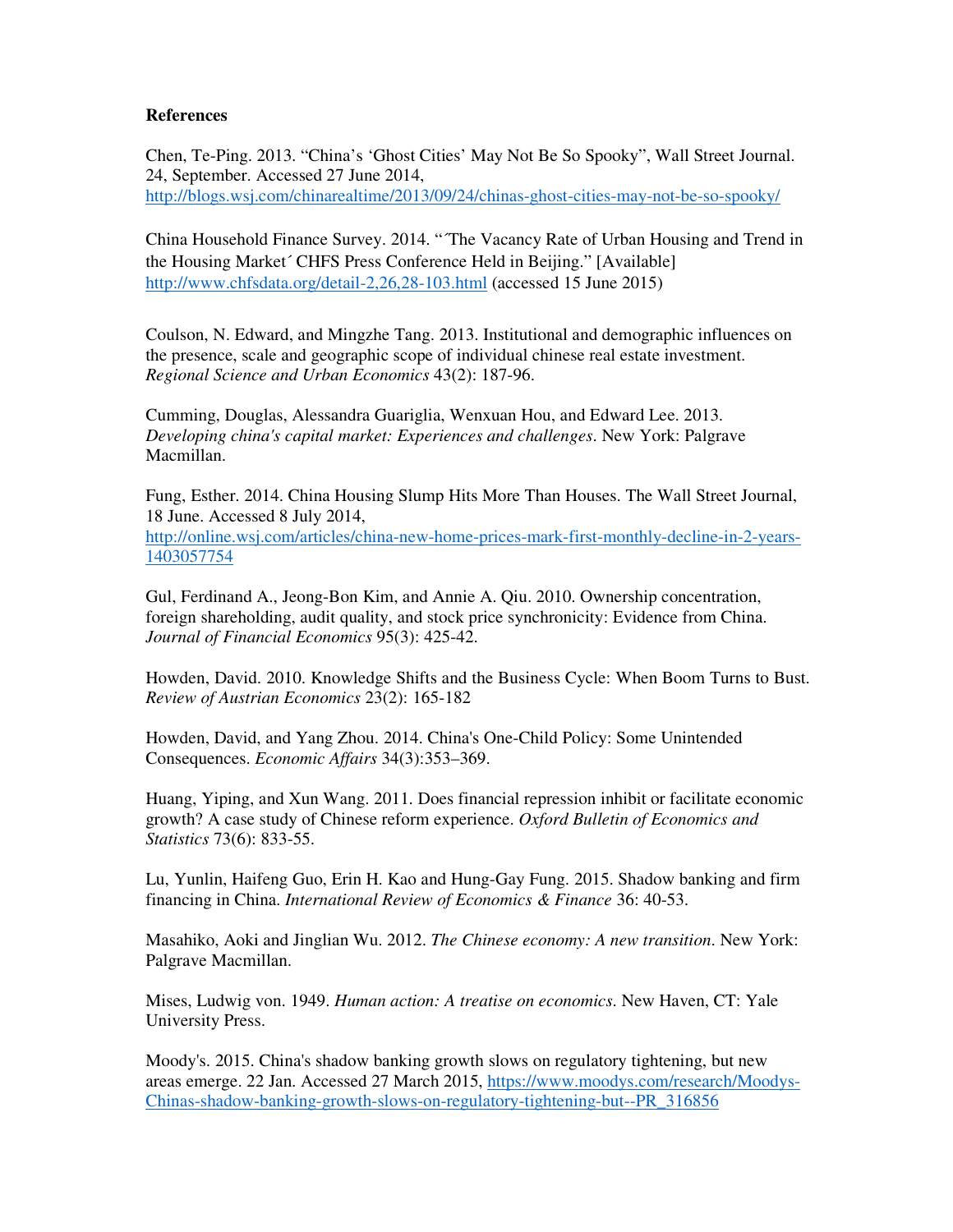## **References**

Chen, Te-Ping. 2013. "China's 'Ghost Cities' May Not Be So Spooky", Wall Street Journal. 24, September. Accessed 27 June 2014, http://blogs.wsj.com/chinarealtime/2013/09/24/chinas-ghost-cities-may-not-be-so-spooky/

China Household Finance Survey. 2014. "´The Vacancy Rate of Urban Housing and Trend in the Housing Market´ CHFS Press Conference Held in Beijing." [Available] http://www.chfsdata.org/detail-2,26,28-103.html (accessed 15 June 2015)

Coulson, N. Edward, and Mingzhe Tang. 2013. Institutional and demographic influences on the presence, scale and geographic scope of individual chinese real estate investment. *Regional Science and Urban Economics* 43(2): 187-96.

Cumming, Douglas, Alessandra Guariglia, Wenxuan Hou, and Edward Lee. 2013. *Developing china's capital market: Experiences and challenges*. New York: Palgrave Macmillan.

Fung, Esther. 2014. China Housing Slump Hits More Than Houses. The Wall Street Journal, 18 June. Accessed 8 July 2014, http://online.wsj.com/articles/china-new-home-prices-mark-first-monthly-decline-in-2-years-

1403057754

Gul, Ferdinand A., Jeong-Bon Kim, and Annie A. Qiu. 2010. Ownership concentration, foreign shareholding, audit quality, and stock price synchronicity: Evidence from China. *Journal of Financial Economics* 95(3): 425-42.

Howden, David. 2010. Knowledge Shifts and the Business Cycle: When Boom Turns to Bust. *Review of Austrian Economics* 23(2): 165-182

Howden, David, and Yang Zhou. 2014. China's One-Child Policy: Some Unintended Consequences. *Economic Affairs* 34(3):353–369.

Huang, Yiping, and Xun Wang. 2011. Does financial repression inhibit or facilitate economic growth? A case study of Chinese reform experience. *Oxford Bulletin of Economics and Statistics* 73(6): 833-55.

Lu, Yunlin, Haifeng Guo, Erin H. Kao and Hung-Gay Fung. 2015. Shadow banking and firm financing in China. *International Review of Economics & Finance* 36: 40-53.

Masahiko, Aoki and Jinglian Wu. 2012. *The Chinese economy: A new transition*. New York: Palgrave Macmillan.

Mises, Ludwig von. 1949. *Human action: A treatise on economics*. New Haven, CT: Yale University Press.

Moody's. 2015. China's shadow banking growth slows on regulatory tightening, but new areas emerge. 22 Jan. Accessed 27 March 2015, https://www.moodys.com/research/Moodys-Chinas-shadow-banking-growth-slows-on-regulatory-tightening-but--PR\_316856